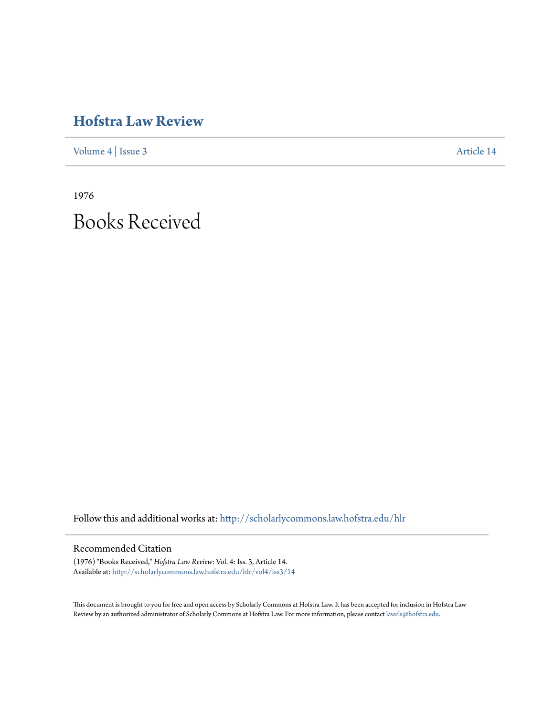# **[Hofstra Law Review](http://scholarlycommons.law.hofstra.edu/hlr?utm_source=scholarlycommons.law.hofstra.edu%2Fhlr%2Fvol4%2Fiss3%2F14&utm_medium=PDF&utm_campaign=PDFCoverPages)**

[Volume 4](http://scholarlycommons.law.hofstra.edu/hlr/vol4?utm_source=scholarlycommons.law.hofstra.edu%2Fhlr%2Fvol4%2Fiss3%2F14&utm_medium=PDF&utm_campaign=PDFCoverPages) | [Issue 3](http://scholarlycommons.law.hofstra.edu/hlr/vol4/iss3?utm_source=scholarlycommons.law.hofstra.edu%2Fhlr%2Fvol4%2Fiss3%2F14&utm_medium=PDF&utm_campaign=PDFCoverPages) [Article 14](http://scholarlycommons.law.hofstra.edu/hlr/vol4/iss3/14?utm_source=scholarlycommons.law.hofstra.edu%2Fhlr%2Fvol4%2Fiss3%2F14&utm_medium=PDF&utm_campaign=PDFCoverPages)

1976 Books Received

Follow this and additional works at: [http://scholarlycommons.law.hofstra.edu/hlr](http://scholarlycommons.law.hofstra.edu/hlr?utm_source=scholarlycommons.law.hofstra.edu%2Fhlr%2Fvol4%2Fiss3%2F14&utm_medium=PDF&utm_campaign=PDFCoverPages)

## Recommended Citation

(1976) "Books Received," *Hofstra Law Review*: Vol. 4: Iss. 3, Article 14. Available at: [http://scholarlycommons.law.hofstra.edu/hlr/vol4/iss3/14](http://scholarlycommons.law.hofstra.edu/hlr/vol4/iss3/14?utm_source=scholarlycommons.law.hofstra.edu%2Fhlr%2Fvol4%2Fiss3%2F14&utm_medium=PDF&utm_campaign=PDFCoverPages)

This document is brought to you for free and open access by Scholarly Commons at Hofstra Law. It has been accepted for inclusion in Hofstra Law Review by an authorized administrator of Scholarly Commons at Hofstra Law. For more information, please contact [lawcls@hofstra.edu](mailto:lawcls@hofstra.edu).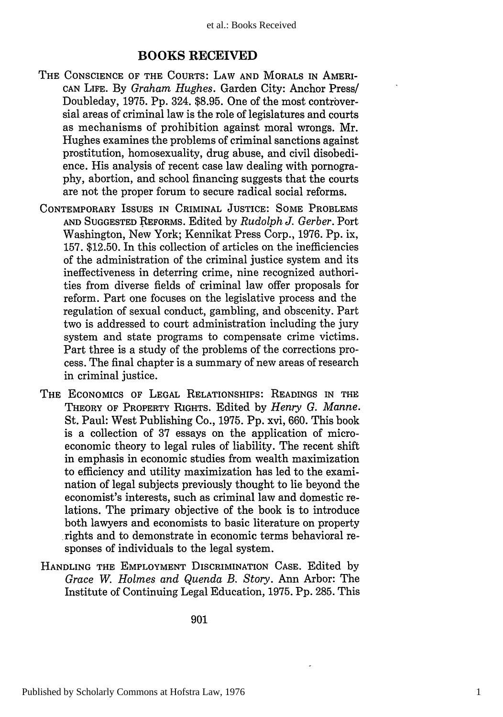### **BOOKS RECEIVED**

- **THE CONSCIENCE OF THE COURTS:** LAW **AND** MORALS **IN** AMERI-CAN **LIFE.** By *Graham Hughes.* Garden City: Anchor Press/ Doubleday, 1975. Pp. 324. \$8.95. One of the most controversial areas of criminal law is the role of legislatures and courts as mechanisms of prohibition against moral wrongs. Mr. Hughes examines the problems of criminal sanctions against prostitution, homosexuality, drug abuse, and civil disobedience. His analysis of recent case law dealing with pornography, abortion, and school financing suggests that the courts are not the proper forum to secure radical social reforms.
- CONTEMPORARY ISSUES **IN** CRIMINAL **JUSTICE: SOME** PROBLEMS **AND SUGGESTED** REFORMS. Edited by *Rudolph J. Gerber.* Port Washington, New York; Kennikat Press Corp., 1976. Pp. ix, 157. \$12.50. In this collection of articles on the inefficiencies of the administration of the criminal justice system and its ineffectiveness in deterring crime, nine recognized authorities from diverse fields of criminal law offer proposals for reform. Part one focuses on the legislative process and the regulation of sexual conduct, gambling, and obscenity. Part two is addressed to court administration including the jury system and state programs to compensate crime victims. Part three is a study of the problems of the corrections process. The final chapter is a summary of new areas of research in criminal justice.
- **THE ECONOMICS** OF **LEGAL** RELATIONSHIPS: READINGS **IN THE** THEORY OF PROPERTY RIGHTS. Edited by *Henry G. Manne.* St. Paul: West Publishing Co., 1975. Pp. xvi, 660. This book is a collection of 37 essays on the application of microeconomic theory to legal rules of liability. The recent shift in emphasis in economic studies from wealth maximization to efficiency and utility maximization has led to the examination of legal subjects previously thought to lie beyond the economist's interests, such as criminal law and domestic relations. The primary objective of the book is to introduce both lawyers and economists to basic literature on property rights and to demonstrate in economic terms behavioral responses of individuals to the legal system.
- **HANDLING** THE EMPLOYMENT DISCRIMINATION **CASE.** Edited by *Grace W. Holmes and Quenda B. Story.* Ann Arbor: The Institute of Continuing Legal Education, 1975. Pp. 285. This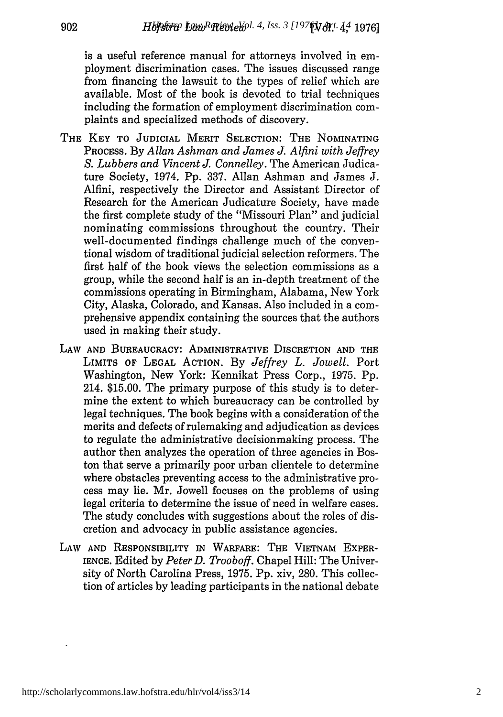is a useful reference manual for attorneys involved in employment discrimination cases. The issues discussed range from financing the lawsuit to the types of relief which are available. Most of the book is devoted to trial techniques including the formation of employment discrimination complaints and specialized methods of discovery.

- THE **KEY** TO **JUDICIAL** MERIT SELECTION: THE NOMINATING PROCESS. By *Allan Ashman and James J. Alfini with Jeffrey S. Lubbers and Vincent J. Connelley.* The American Judicature Society, 1974. Pp. 337. Allan Ashman and James J. Alfini, respectively the Director and Assistant Director of Research for the American Judicature Society, have made the first complete study of the "Missouri Plan" and judicial nominating commissions throughout the country. Their well-documented findings challenge much of the conventional wisdom of traditional judicial selection reformers. The first half of the book views the selection commissions as a group, while the second half is an in-depth treatment of the commissions operating in Birmingham, Alabama, New York City, Alaska, Colorado, and Kansas. Also included in a comprehensive appendix containing the sources that the authors used in making their study.
- LAW **AND** BUREAUCRACY: ADMINISTRATIVE DISCRETION **AND** THE LIMITS **OF LEGAL** ACTION. By *Jeffrey L. Jowell.* Port Washington, New York: Kennikat Press Corp., 1975. Pp. 214. \$15.00. The primary purpose of this study is to determine the extent to which bureaucracy can be controlled by legal techniques. The book begins with a consideration of the merits and defects of rulemaking and adjudication as devices to regulate the administrative decisionmaking process. The author then analyzes the operation of three agencies in Boston that serve a primarily poor urban clientele to determine where obstacles preventing access to the administrative process may lie. Mr. Jowell focuses on the problems of using legal criteria to determine the issue of need in welfare cases. The study concludes with suggestions about the roles of discretion and advocacy in public assistance agencies.
- LAW AND RESPONSIBILITY IN WARFARE: THE VIETNAM EXPER-**IENCE.** Edited by *Peter D. Trooboff.* Chapel Hill: The University of North Carolina Press, 1975. **Pp.** xiv, 280. This collection of articles by leading participants in the national debate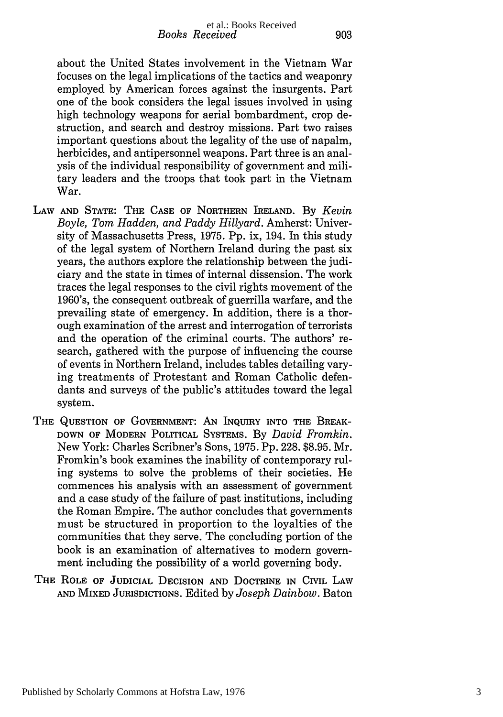about the United States involvement in the Vietnam War focuses on the legal implications of the tactics and weaponry employed by American forces against the insurgents. Part one of the book considers the legal issues involved in using high technology weapons for aerial bombardment, crop destruction, and search and destroy missions. Part two raises important questions about the legality of the use of napalm, herbicides, and antipersonnel weapons. Part three is an analysis of the individual responsibility of government and military leaders and the troops that took part in the Vietnam War.

- LAW **AND STATE: THE CASE OF** NORTHERN IRELAND. By *Kevin Boyle, Tom Hadden, and Paddy Hillyard.* Amherst: University of Massachusetts Press, 1975. Pp. ix, 194. In this study of the legal system of Northern Ireland during the past six years, the authors explore the relationship between the judiciary and the state in times of internal dissension. The work traces the legal responses to the civil rights movement of the 1960's, the consequent outbreak of guerrilla warfare, and the prevailing state of emergency. In addition, there is a thorough examination of the arrest and interrogation of terrorists and the operation of the criminal courts. The authors' research, gathered with the purpose of influencing the course of events in Northern Ireland, includes tables detailing varying treatments of Protestant and Roman Catholic defendants and surveys of the public's attitudes toward the legal system.
- THE **QUESTION** OF **GOVERNMENT: AN** INQUIRY **INTO** THE BREAK-DOWN OF MODERN POLITICAL SYSTEMS. By *David Fromkin.* New York: Charles Scribner's Sons, 1975. **Pp.** 228. \$8.95. Mr. Fromkin's book examines the inability of contemporary ruling systems to solve the problems of their societies. He commences his analysis with an assessment of government and a case study of the failure of past institutions, including the Roman Empire. The author concludes that governments must be structured in proportion to the loyalties of the communities that they serve. The concluding portion of the book is an examination of alternatives to modern government including the possibility of a world governing body.
- THE ROLE OF **JUDICIAL** DECISION **AND** DOCTRINE IN CivuL LAW **AND** MIXED **JURISDICTIONS.** Edited by *Joseph Dainbow.* Baton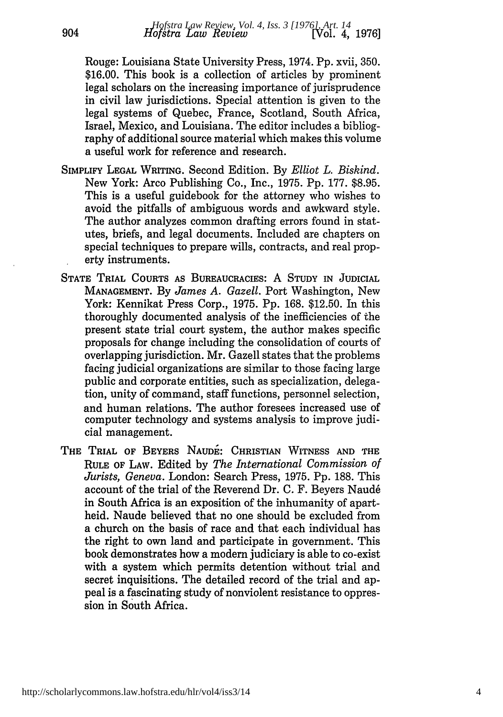Rouge: Louisiana State University Press, 1974. Pp. xvii, 350. \$16.00. This book is a collection of articles by prominent legal scholars on the increasing importance of jurisprudence in civil law jurisdictions. Special attention is given to the legal systems of Quebec, France, Scotland, South Africa, Israel, Mexico, and Louisiana. The editor includes a bibliography of additional source material which makes this volume a useful work for reference and research.

904

- SIMPLIFY **LEGAL** WRITING. Second Edition. By *Elliot L. Biskind.* New York: Arco Publishing Co., Inc., 1975. Pp. 177. \$8.95. This is a useful guidebook for the attorney who wishes to avoid the pitfalls of ambiguous words and awkward style. The author analyzes common drafting errors found in statutes, briefs, and legal documents. Included are chapters on special techniques to prepare wills, contracts, and real property instruments.
- **STATE TRIAL COURTS AS BUREAUCRACIES:** A **STUDY** IN **JUDICIAL MANAGEMENT.** By *James A. Gazell.* Port Washington, New York: Kennikat Press Corp., 1975. Pp. 168. \$12.50. In this thoroughly documented analysis of the inefficiencies of the present state trial court system, the author makes specific proposals for change including the consolidation of courts of overlapping jurisdiction. Mr. Gazell states that the problems facing judicial organizations are similar to those facing large public and corporate entities, such as specialization, delegation, unity of command, staff functions, personnel selection, and human relations. The author foresees increased use of computer technology and systems analysis to improve judicial management.
- THE TRIAL OF BEYERS NAUDE: CHRISTIAN WITNESS AND THE RULE **OF** LAW. Edited by *The International Commission of Jurists, Geneva.* London: Search Press, 1975. Pp. 188. This account of the trial of the Reverend Dr. C. F. Beyers Naud6 in South Africa is an exposition of the inhumanity of apartheid. Naude believed that no one should be excluded from a church on the basis of race and that each individual has the right to own land and participate in government. This book demonstrates how a modem judiciary is able to co-exist with a system which permits detention without trial and secret inquisitions. The detailed record of the trial and appeal is a fascinating study of nonviolent resistance to oppression in South Africa.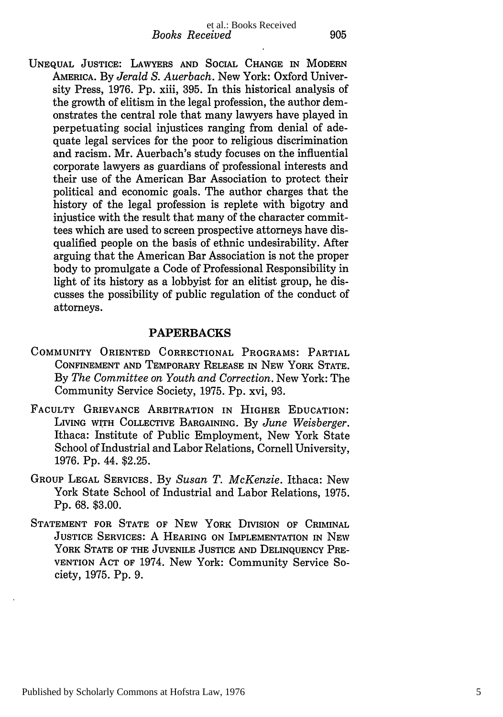UNEQUAL **JUSTICE:** LAWYERS **AND SOCIAL** CHANGE IN MODERN AMERICA. By *Jerald S. Auerbach.* New York: Oxford University Press, 1976. Pp. xiii, **395.** In this historical analysis of the growth of elitism in the legal profession, the author demonstrates the central role that many lawyers have played in perpetuating social injustices ranging from denial of adequate legal services for the poor to religious discrimination and racism. Mr. Auerbach's study focuses on the influential corporate lawyers as guardians of professional interests and their use of the American Bar Association to protect their political and economic goals. The author charges that the history of the legal profession is replete with bigotry and injustice with the result that many of the character committees which are used to screen prospective attorneys have disqualified people on the basis of ethnic undesirability. After arguing that the American Bar Association is not the proper body to promulgate a Code of Professional Responsibility in light of its history as a lobbyist for an elitist group, he discusses the possibility of public regulation of the conduct of attorneys.

#### **PAPERBACKS**

- COMMUNITY ORIENTED CORRECTIONAL PROGRAMS: PARTIAL **CONFINEMENT AND** TEMPORARY **RELEASE** IN **NEW** YORK **STATE.** By *The Committee on Youth and Correction.* New York: The Community Service Society, 1975. Pp. xvi, 93.
- **FACULTY GRIEVANCE** ARBITRATION IN HIGHER **EDUCATION:** LIVING WITH COLLECTIVE BARGAINING. By *June Weisberger.* Ithaca: Institute of Public Employment, New York State School of Industrial and Labor Relations, Cornell University, 1976. Pp. 44. \$2.25.
- GROUP **LEGAL SERVICES.** By *Susan T. McKenzie.* Ithaca: New York State School of Industrial and Labor Relations, 1975. Pp. 68. \$3.00.
- **STATEMENT FOR STATE** OF **NEW** YORK DIVISION OF CRIMINAL **JUSTICE SERVICES:** A **HEARING ON** IMPLEMENTATION **IN NEW** YORK **STATE** OF THE **JUVENILE JUSTICE AND DELINQUENCY** PRE-VENTION **ACT** OF 1974. New York: Community Service Society, 1975. Pp. 9.